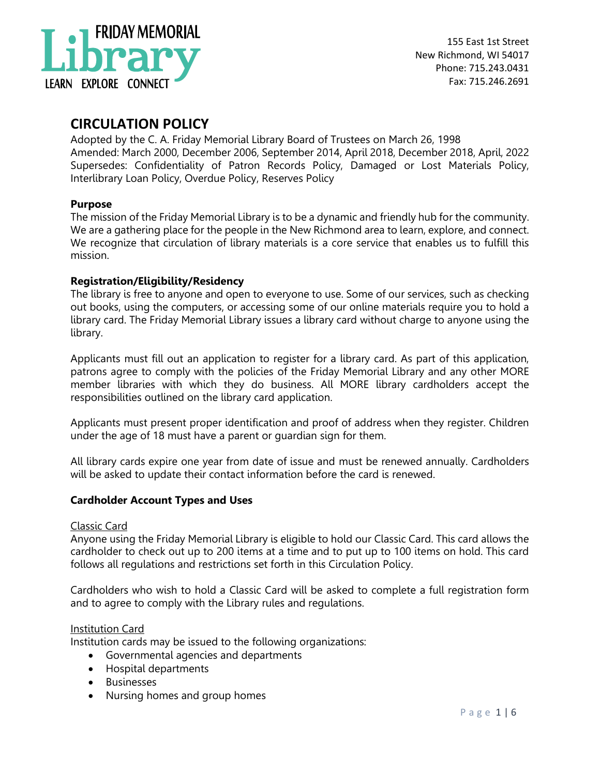

# **CIRCULATION POLICY**

Adopted by the C. A. Friday Memorial Library Board of Trustees on March 26, 1998 Amended: March 2000, December 2006, September 2014, April 2018, December 2018, April, 2022 Supersedes: Confidentiality of Patron Records Policy, Damaged or Lost Materials Policy, Interlibrary Loan Policy, Overdue Policy, Reserves Policy

# **Purpose**

The mission of the Friday Memorial Library is to be a dynamic and friendly hub for the community. We are a gathering place for the people in the New Richmond area to learn, explore, and connect. We recognize that circulation of library materials is a core service that enables us to fulfill this mission.

# **Registration/Eligibility/Residency**

The library is free to anyone and open to everyone to use. Some of our services, such as checking out books, using the computers, or accessing some of our online materials require you to hold a library card. The Friday Memorial Library issues a library card without charge to anyone using the library.

Applicants must fill out an application to register for a library card. As part of this application, patrons agree to comply with the policies of the Friday Memorial Library and any other MORE member libraries with which they do business. All MORE library cardholders accept the responsibilities outlined on the library card application.

Applicants must present proper identification and proof of address when they register. Children under the age of 18 must have a parent or guardian sign for them.

All library cards expire one year from date of issue and must be renewed annually. Cardholders will be asked to update their contact information before the card is renewed.

# **Cardholder Account Types and Uses**

# Classic Card

Anyone using the Friday Memorial Library is eligible to hold our Classic Card. This card allows the cardholder to check out up to 200 items at a time and to put up to 100 items on hold. This card follows all regulations and restrictions set forth in this Circulation Policy.

Cardholders who wish to hold a Classic Card will be asked to complete a full registration form and to agree to comply with the Library rules and regulations.

# Institution Card

Institution cards may be issued to the following organizations:

- Governmental agencies and departments
- Hospital departments
- Businesses
- Nursing homes and group homes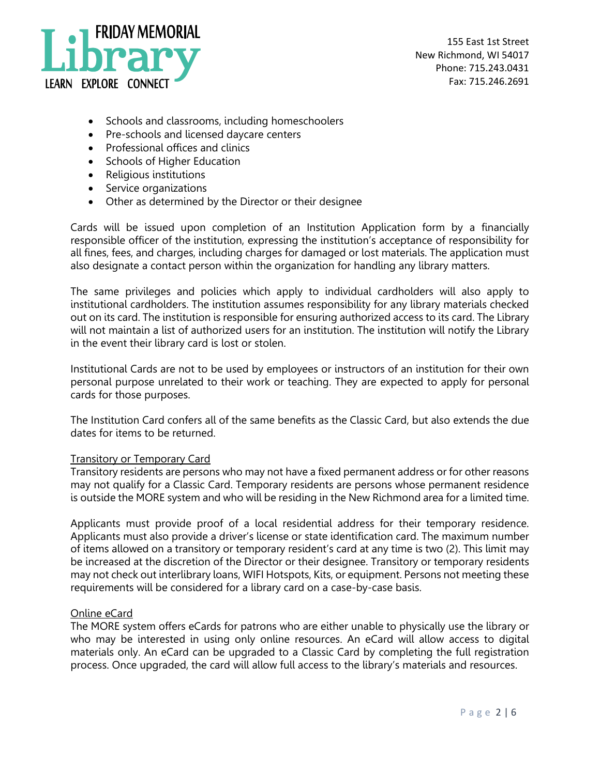

- Schools and classrooms, including homeschoolers
- Pre-schools and licensed daycare centers
- Professional offices and clinics
- Schools of Higher Education
- Religious institutions
- Service organizations
- Other as determined by the Director or their designee

Cards will be issued upon completion of an Institution Application form by a financially responsible officer of the institution, expressing the institution's acceptance of responsibility for all fines, fees, and charges, including charges for damaged or lost materials. The application must also designate a contact person within the organization for handling any library matters.

The same privileges and policies which apply to individual cardholders will also apply to institutional cardholders. The institution assumes responsibility for any library materials checked out on its card. The institution is responsible for ensuring authorized access to its card. The Library will not maintain a list of authorized users for an institution. The institution will notify the Library in the event their library card is lost or stolen.

Institutional Cards are not to be used by employees or instructors of an institution for their own personal purpose unrelated to their work or teaching. They are expected to apply for personal cards for those purposes.

The Institution Card confers all of the same benefits as the Classic Card, but also extends the due dates for items to be returned.

#### Transitory or Temporary Card

Transitory residents are persons who may not have a fixed permanent address or for other reasons may not qualify for a Classic Card. Temporary residents are persons whose permanent residence is outside the MORE system and who will be residing in the New Richmond area for a limited time.

Applicants must provide proof of a local residential address for their temporary residence. Applicants must also provide a driver's license or state identification card. The maximum number of items allowed on a transitory or temporary resident's card at any time is two (2). This limit may be increased at the discretion of the Director or their designee. Transitory or temporary residents may not check out interlibrary loans, WIFI Hotspots, Kits, or equipment. Persons not meeting these requirements will be considered for a library card on a case-by-case basis.

#### Online eCard

The MORE system offers eCards for patrons who are either unable to physically use the library or who may be interested in using only online resources. An eCard will allow access to digital materials only. An eCard can be upgraded to a Classic Card by completing the full registration process. Once upgraded, the card will allow full access to the library's materials and resources.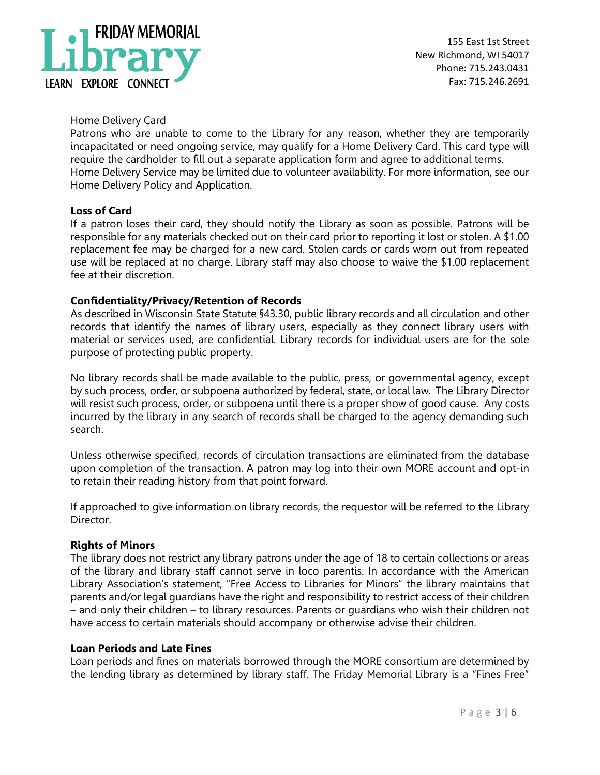

155 East 1st Street New Richmond, WI 54017 Phone: 715.243.0431 Fax: 715.246.2691

### Home Delivery Card

Patrons who are unable to come to the Library for any reason, whether they are temporarily incapacitated or need ongoing service, may qualify for a Home Delivery Card. This card type will require the cardholder to fill out a separate application form and agree to additional terms. Home Delivery Service may be limited due to volunteer availability. For more information, see our Home Delivery Policy and Application.

#### **Loss of Card**

If a patron loses their card, they should notify the Library as soon as possible. Patrons will be responsible for any materials checked out on their card prior to reporting it lost or stolen. A \$1.00 replacement fee may be charged for a new card. Stolen cards or cards worn out from repeated use will be replaced at no charge. Library staff may also choose to waive the \$1.00 replacement fee at their discretion.

#### **Confidentiality/Privacy/Retention of Records**

As described in Wisconsin State Statute §43.30, public library records and all circulation and other records that identify the names of library users, especially as they connect library users with material or services used, are confidential. Library records for individual users are for the sole purpose of protecting public property.

No library records shall be made available to the public, press, or governmental agency, except by such process, order, or subpoena authorized by federal, state, or local law. The Library Director will resist such process, order, or subpoena until there is a proper show of good cause. Any costs incurred by the library in any search of records shall be charged to the agency demanding such search.

Unless otherwise specified, records of circulation transactions are eliminated from the database upon completion of the transaction. A patron may log into their own MORE account and opt-in to retain their reading history from that point forward.

If approached to give information on library records, the requestor will be referred to the Library Director.

#### **Rights of Minors**

The library does not restrict any library patrons under the age of 18 to certain collections or areas of the library and library staff cannot serve in loco parentis. In accordance with the American Library Association's statement, "Free Access to Libraries for Minors" the library maintains that parents and/or legal guardians have the right and responsibility to restrict access of their children – and only their children – to library resources. Parents or guardians who wish their children not have access to certain materials should accompany or otherwise advise their children.

#### **Loan Periods and Late Fines**

Loan periods and fines on materials borrowed through the MORE consortium are determined by the lending library as determined by library staff. The Friday Memorial Library is a "Fines Free"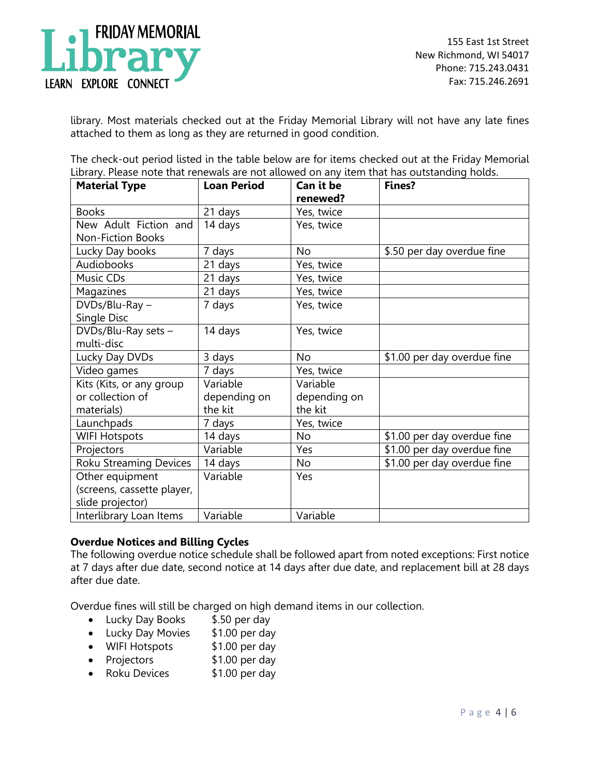

library. Most materials checked out at the Friday Memorial Library will not have any late fines attached to them as long as they are returned in good condition.

The check-out period listed in the table below are for items checked out at the Friday Memorial Library. Please note that renewals are not allowed on any item that has outstanding holds.

| <b>Material Type</b>          | <b>Loan Period</b> | Can it be<br>renewed? | <b>Fines?</b>               |
|-------------------------------|--------------------|-----------------------|-----------------------------|
| <b>Books</b>                  | 21 days            | Yes, twice            |                             |
| New Adult Fiction and         | 14 days            | Yes, twice            |                             |
| Non-Fiction Books             |                    |                       |                             |
| Lucky Day books               | 7 days             | No                    | \$.50 per day overdue fine  |
| Audiobooks                    | 21 days            | Yes, twice            |                             |
| Music CDs                     | 21 days            | Yes, twice            |                             |
| Magazines                     | 21 days            | Yes, twice            |                             |
| DVDs/Blu-Ray-                 | 7 days             | Yes, twice            |                             |
| Single Disc                   |                    |                       |                             |
| DVDs/Blu-Ray sets -           | 14 days            | Yes, twice            |                             |
| multi-disc                    |                    |                       |                             |
| Lucky Day DVDs                | 3 days             | N <sub>o</sub>        | \$1.00 per day overdue fine |
| Video games                   | 7 days             | Yes, twice            |                             |
| Kits (Kits, or any group      | Variable           | Variable              |                             |
| or collection of              | depending on       | depending on          |                             |
| materials)                    | the kit            | the kit               |                             |
| Launchpads                    | 7 days             | Yes, twice            |                             |
| <b>WIFI Hotspots</b>          | 14 days            | No                    | \$1.00 per day overdue fine |
| Projectors                    | Variable           | Yes                   | \$1.00 per day overdue fine |
| <b>Roku Streaming Devices</b> | 14 days            | No                    | \$1.00 per day overdue fine |
| Other equipment               | Variable           | Yes                   |                             |
| (screens, cassette player,    |                    |                       |                             |
| slide projector)              |                    |                       |                             |
| Interlibrary Loan Items       | Variable           | Variable              |                             |

# **Overdue Notices and Billing Cycles**

The following overdue notice schedule shall be followed apart from noted exceptions: First notice at 7 days after due date, second notice at 14 days after due date, and replacement bill at 28 days after due date.

Overdue fines will still be charged on high demand items in our collection.

- Lucky Day Books \$.50 per day
- Lucky Day Movies \$1.00 per day
- WIFI Hotspots \$1.00 per day
- Projectors \$1.00 per day
- Roku Devices \$1.00 per day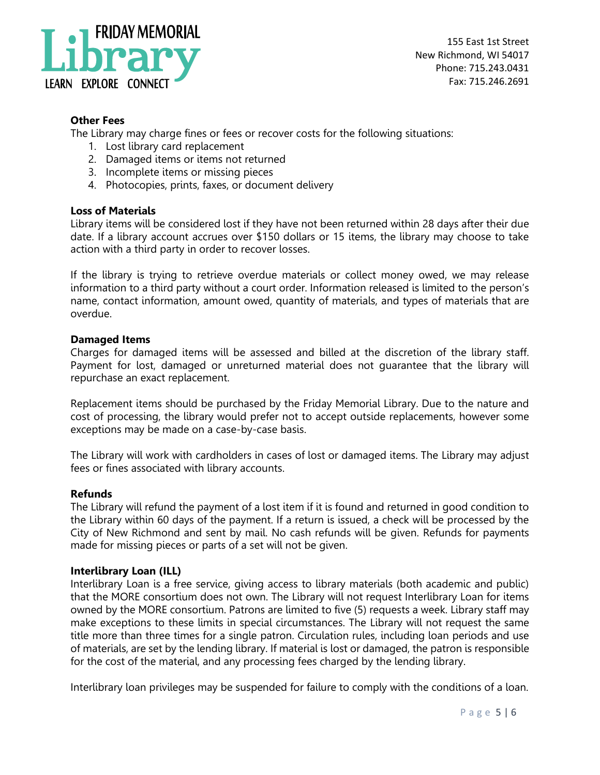

# **Other Fees**

The Library may charge fines or fees or recover costs for the following situations:

- 1. Lost library card replacement
- 2. Damaged items or items not returned
- 3. Incomplete items or missing pieces
- 4. Photocopies, prints, faxes, or document delivery

# **Loss of Materials**

Library items will be considered lost if they have not been returned within 28 days after their due date. If a library account accrues over \$150 dollars or 15 items, the library may choose to take action with a third party in order to recover losses.

If the library is trying to retrieve overdue materials or collect money owed, we may release information to a third party without a court order. Information released is limited to the person's name, contact information, amount owed, quantity of materials, and types of materials that are overdue.

#### **Damaged Items**

Charges for damaged items will be assessed and billed at the discretion of the library staff. Payment for lost, damaged or unreturned material does not guarantee that the library will repurchase an exact replacement.

Replacement items should be purchased by the Friday Memorial Library. Due to the nature and cost of processing, the library would prefer not to accept outside replacements, however some exceptions may be made on a case-by-case basis.

The Library will work with cardholders in cases of lost or damaged items. The Library may adjust fees or fines associated with library accounts.

# **Refunds**

The Library will refund the payment of a lost item if it is found and returned in good condition to the Library within 60 days of the payment. If a return is issued, a check will be processed by the City of New Richmond and sent by mail. No cash refunds will be given. Refunds for payments made for missing pieces or parts of a set will not be given.

# **Interlibrary Loan (ILL)**

Interlibrary Loan is a free service, giving access to library materials (both academic and public) that the MORE consortium does not own. The Library will not request Interlibrary Loan for items owned by the MORE consortium. Patrons are limited to five (5) requests a week. Library staff may make exceptions to these limits in special circumstances. The Library will not request the same title more than three times for a single patron. Circulation rules, including loan periods and use of materials, are set by the lending library. If material is lost or damaged, the patron is responsible for the cost of the material, and any processing fees charged by the lending library.

Interlibrary loan privileges may be suspended for failure to comply with the conditions of a loan.